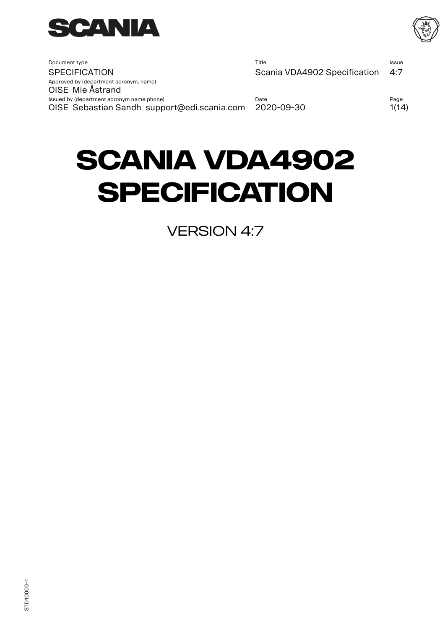

<span id="page-0-1"></span><span id="page-0-0"></span>

| Document type                                                                            | Title                        | <b>Issue</b>  |
|------------------------------------------------------------------------------------------|------------------------------|---------------|
| <b>SPECIFICATION</b>                                                                     | Scania VDA4902 Specification | 4:7           |
| Approved by (department acronym, name)<br>OISE Mie Ästrand                               |                              |               |
| Issued by (department acronym name phone)<br>OISE Sebastian Sandh support@edi.scania.com | Date<br>2020-09-30           | Page<br>1(14) |

# **[Scania VDA4902](#page-0-0)  [Specification](#page-0-0)**

**VERSION [4:7](#page-0-1)**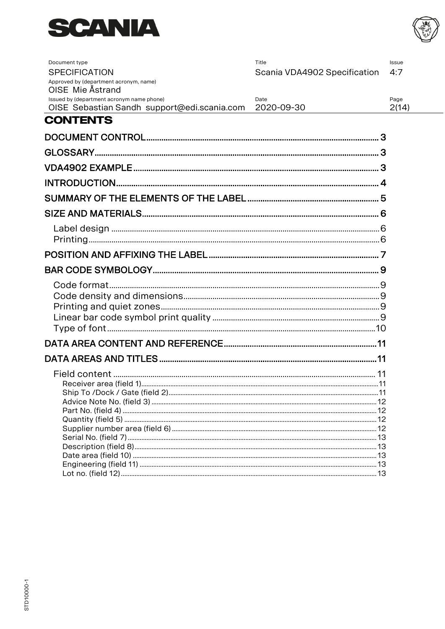



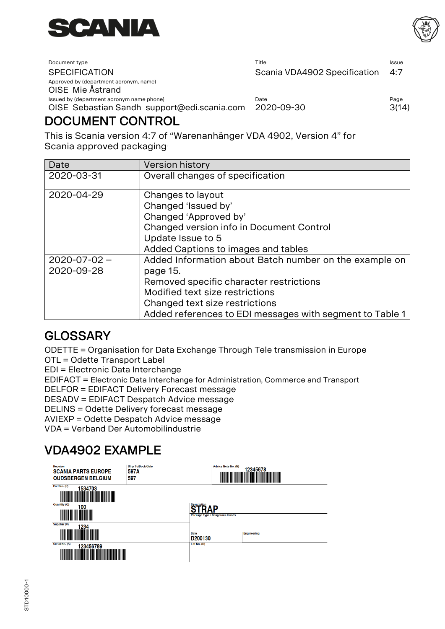



| Document type                                              | Title                        | <b>Issue</b> |
|------------------------------------------------------------|------------------------------|--------------|
| <b>SPECIFICATION</b>                                       | Scania VDA4902 Specification | 4:7          |
| Approved by (department acronym, name)<br>OISE Mie Ästrand |                              |              |
| Issued by (department acronym name phone)                  | Date                         | Page         |
| OISE Sebastian Sandh support@edi.scania.com                | 2020-09-30                   | 3(14)        |
|                                                            |                              |              |

# <span id="page-2-0"></span>DOCUMENT CONTROL

This is Scania version 4:7 of "Warenanhänger VDA 4902, Version 4" for Scania approved packaging.

| Date                             | <b>Version history</b>                                                                                                                                                                                                                         |
|----------------------------------|------------------------------------------------------------------------------------------------------------------------------------------------------------------------------------------------------------------------------------------------|
| 2020-03-31                       | Overall changes of specification                                                                                                                                                                                                               |
| 2020-04-29                       | Changes to layout<br>Changed 'Issued by'<br>Changed 'Approved by'<br>Changed version info in Document Control<br>Update Issue to 5<br>Added Captions to images and tables                                                                      |
| $2020 - 07 - 02 -$<br>2020-09-28 | Added Information about Batch number on the example on<br>page 15.<br>Removed specific character restrictions<br>Modified text size restrictions<br>Changed text size restrictions<br>Added references to EDI messages with segment to Table 1 |

# <span id="page-2-1"></span>**GLOSSARY**

ODETTE = Organisation for Data Exchange Through Tele transmission in Europe

OTL = Odette Transport Label

EDI = Electronic Data Interchange

EDIFACT = Electronic Data Interchange for Administration, Commerce and Transport

DELFOR = EDIFACT Delivery Forecast message

DESADV = EDIFACT Despatch Advice message

DELINS = Odette Delivery forecast message

AVIEXP = Odette Despatch Advice message

VDA = Verband Der Automobilindustrie

# <span id="page-2-2"></span>VDA4902 EXAMPLE

| <b>Receiver</b><br><b>SCANIA PARTS EUROPE</b><br><b>OUDSBERGEN BELGIUM</b>                            | <b>Ship To/Dock/Gate</b><br>597A<br>597 | <b>Advice Note No. (N)</b><br>12345678                     |  |
|-------------------------------------------------------------------------------------------------------|-----------------------------------------|------------------------------------------------------------|--|
| Part No. (P)<br>1534703<br>║<br><b>Quantity (Q)</b>                                                   |                                         |                                                            |  |
| 100                                                                                                   |                                         | <b>Description</b><br>ΔD<br>Package Type / Dangerous Goods |  |
| Supplier (V)<br>1234<br>║║                                                                            |                                         | <b>Date</b><br><b>Engineering</b><br>D200130               |  |
| Serial No. (S)<br>123456789<br><b>THE REAL PROPERTY</b><br><b>THE REAL PROPERTY AND REAL PROPERTY</b> |                                         | Lot No. (H)                                                |  |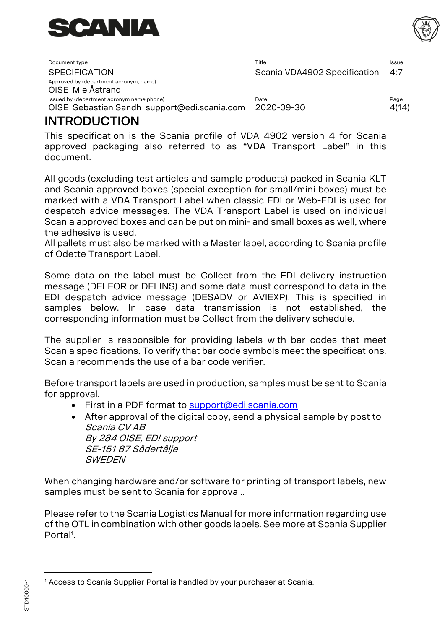

| Document type                                                                            | Title                        | Issue         |
|------------------------------------------------------------------------------------------|------------------------------|---------------|
| <b>SPECIFICATION</b>                                                                     | Scania VDA4902 Specification | 4:7           |
| Approved by (department acronym, name)<br>OISE Mie Ästrand                               |                              |               |
| Issued by (department acronym name phone)<br>OISE Sebastian Sandh support@edi.scania.com | Date<br>2020-09-30           | Page<br>4(14) |

# <span id="page-3-0"></span>**INTRODUCTION**

This specification is the Scania profile of VDA 4902 version 4 for Scania approved packaging also referred to as "VDA Transport Label" in this document.

All goods (excluding test articles and sample products) packed in Scania KLT and Scania approved boxes (special exception for small/mini boxes) must be marked with a VDA Transport Label when classic EDI or Web-EDI is used for despatch advice messages. The VDA Transport Label is used on individual Scania approved boxes and can be put on mini- and small boxes as well, where the adhesive is used.

All pallets must also be marked with a Master label, according to Scania profile of Odette Transport Label.

Some data on the label must be Collect from the EDI delivery instruction message (DELFOR or DELINS) and some data must correspond to data in the EDI despatch advice message (DESADV or AVIEXP). This is specified in samples below. In case data transmission is not established, the corresponding information must be Collect from the delivery schedule.

The supplier is responsible for providing labels with bar codes that meet Scania specifications. To verify that bar code symbols meet the specifications, Scania recommends the use of a bar code verifier.

Before transport labels are used in production, samples must be sent to Scania for approval.

- First in a PDF format to [support@edi.scania.com](mailto:support@edi.scania.com)
- After approval of the digital copy, send a physical sample by post to Scania CV AB By 284 OISE, EDI support SE-151 87 Södertälje **SWEDEN**

When changing hardware and/or software for printing of transport labels, new samples must be sent to Scania for approval..

Please refer to the Scania Logistics Manual for more information regarding use of the OTL in combination with other goods labels. See more at Scania Supplier Portal<sup>1</sup>.



<sup>&</sup>lt;sup>1</sup> Access to Scania Supplier Portal is handled by your purchaser at Scania.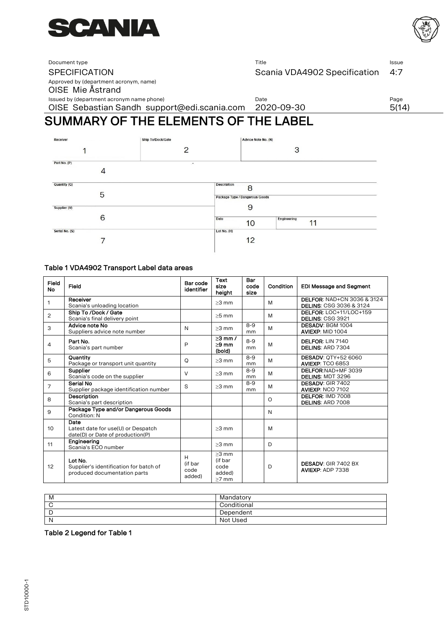



Document type **ISSUE** ISSUE ISSUE **The ISSUE ISSUE ISSUE ISSUE ISSUE ISSUE ISSUE ISSUE ISSUE ISSUE ISSUE ISSUE ISSUE ISSUE ISSUE ISSUE ISSUE ISSUE ISSUE ISSUE ISSUE ISSUE ISSUE ISSUE ISSUE ISSUE ISSUE ISSUE ISSUE ISSUE ISS** SPECIFICATION SCAN Scania VDA4902 Specification 4:7

Approved by (department acronym, name)

OISE Mie Åstrand

Issued by (department acronym name phone) and the Control of Date Date Page Page Page

OISE Sebastian Sandh support@edi.scania.com 2020-09-30 5(14)

# <span id="page-4-0"></span>SUMMARY OF THE ELEMENTS OF THE LABEL

| Receiver       | Ship To/Dock/Gate | Advice Note No. (N)             |
|----------------|-------------------|---------------------------------|
|                | $\mathcal{P}$     | 3                               |
| Part No. (P)   | $\bullet$         |                                 |
| 4              |                   |                                 |
| Quantity (Q)   |                   | <b>Description</b><br>8         |
| 5              |                   | Package Type / Dangerous Goods  |
| Supplier (V)   |                   | 9                               |
| 6              |                   | Date<br>Engineering<br>11<br>10 |
| Serial No. (S) |                   | Lot No. (H)                     |
|                |                   | 12                              |

#### Table 1 VDA4902 Transport Label data areas

| Field<br><b>No</b> | Field                                                                             | Bar code<br>identifier         | Text<br>size<br>height                          | Bar<br>code<br>size | Condition | <b>EDI Message and Segment</b>                                              |
|--------------------|-----------------------------------------------------------------------------------|--------------------------------|-------------------------------------------------|---------------------|-----------|-----------------------------------------------------------------------------|
| 1                  | Receiver<br>Scania's unloading location                                           |                                | $>3$ mm                                         |                     | M         | <b>DELFOR: NAD+CN 3036 &amp; 3124</b><br><b>DELINS: CSG 3036 &amp; 3124</b> |
| 2                  | Ship To /Dock / Gate<br>Scania's final delivery point                             |                                | $>5$ mm                                         |                     | M         | DELFOR: LOC+11/LOC+159<br>DELINS: CSG 3921                                  |
| 3                  | Advice note No<br>Suppliers advice note number                                    | N                              | $>3$ mm                                         | $8-9$<br>mm         | M         | DESADV: BGM 1004<br>AVIEXP: MID 1004                                        |
| 4                  | Part No.<br>Scania's part number                                                  | P                              | $>3$ mm $/$<br>$>9$ mm<br>(bold)                | $8 - 9$<br>mm       | M         | DELFOR: LIN 7140<br>DELINS: ARD 7304                                        |
| 5                  | Quantity<br>Package or transport unit quantity                                    | O                              | $>3$ mm                                         | $8-9$<br>mm         | M         | <b>DESADV: OTY+52 6060</b><br><b>AVIEXP: TCO 6853</b>                       |
| 6                  | Supplier<br>Scania's code on the supplier                                         | V                              | $>3$ mm                                         | $8 - 9$<br>mm       | M         | DELFOR:NAD+MF 3039<br><b>DELINS: MDT 3296</b>                               |
| $\overline{7}$     | Serial No<br>Supplier package identification number                               | S                              | $>3$ mm                                         | $8-9$<br>mm         | M         | DESADV: GIR 7402<br><b>AVIEXP: NCO 7102</b>                                 |
| 8                  | Description<br>Scania's part description                                          |                                |                                                 |                     | $\circ$   | DELFOR: IMD 7008<br>DELINS: ARD 7008                                        |
| 9                  | Package Type and/or Dangerous Goods<br>Condition: N                               |                                |                                                 |                     | N         |                                                                             |
| 10                 | Date<br>Latest date for use(U) or Despatch<br>date(D) or Date of production(P)    |                                | $>3$ mm                                         |                     | M         |                                                                             |
| 11                 | Engineering<br>Scania's ECO number                                                |                                | $>3$ mm                                         |                     | D         |                                                                             |
| 12                 | Lot No.<br>Supplier's identification for batch of<br>produced documentation parts | H<br>(if bar<br>code<br>added) | $>3$ mm<br>(if bar<br>code<br>added)<br>$>7$ mm |                     | D         | <b>DESADV: GIR 7402 BX</b><br>AVIEXP: ADP 7338                              |

| M            | Mandatory   |
|--------------|-------------|
|              | Conditional |
| ┕            | Dependent   |
| $\mathsf{N}$ | Not Used    |

#### Table 2 Legend for Table 1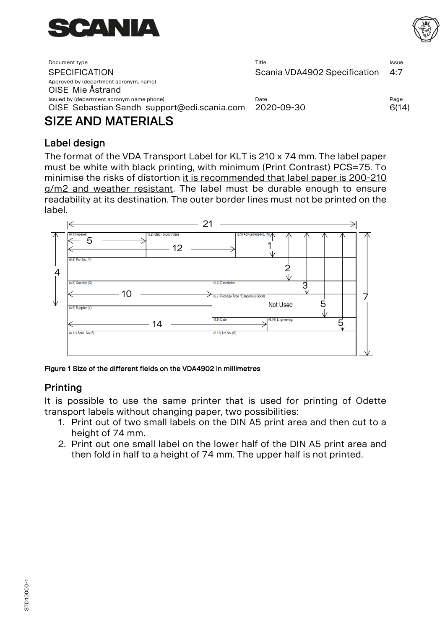



| Document type                                              | Title                        | Issue |
|------------------------------------------------------------|------------------------------|-------|
| <b>SPECIFICATION</b>                                       | Scania VDA4902 Specification | 4:7   |
| Approved by (department acronym, name)<br>OISE Mie Ästrand |                              |       |
| Issued by (department acronym name phone)                  | Date                         | Page  |
| OISE Sebastian Sandh support@edi.scania.com                | 2020-09-30                   | 6(14) |
|                                                            |                              |       |

# <span id="page-5-0"></span>SIZE AND MATERIALS

## <span id="page-5-1"></span>Label design

The format of the VDA Transport Label for KLT is 210 x 74 mm. The label paper must be white with black printing, with minimum (Print Contrast) PCS=75. To minimise the risks of distortion it is recommended that label paper is 200-210 g/m2 and weather resistant. The label must be durable enough to ensure readability at its destination. The outer border lines must not be printed on the label.



Figure 1 Size of the different fields on the VDA4902 in millimetres

## <span id="page-5-2"></span>Printing

It is possible to use the same printer that is used for printing of Odette transport labels without changing paper, two possibilities:

- 1. Print out of two small labels on the DIN A5 print area and then cut to a height of 74 mm.
- 2. Print out one small label on the lower half of the DIN A5 print area and then fold in half to a height of 74 mm. The upper half is not printed.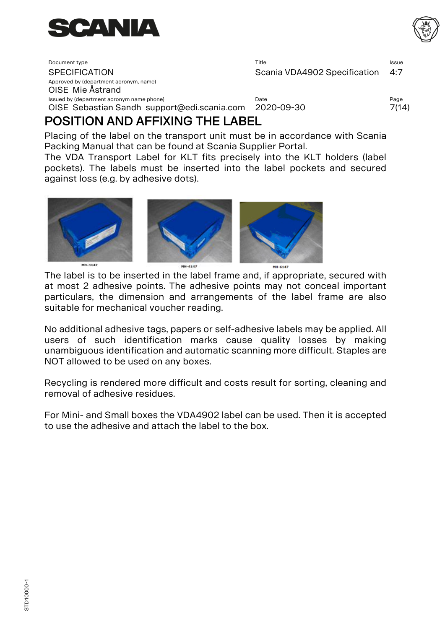

| BAAITIAN IND IFFIVINA TUFI IBFI                                                          |                              |               |
|------------------------------------------------------------------------------------------|------------------------------|---------------|
| Issued by (department acronym name phone)<br>OISE Sebastian Sandh support@edi.scania.com | Date<br>2020-09-30           | Page<br>7(14) |
| Approved by (department acronym, name)<br>OISE Mie Ästrand                               |                              |               |
| <b>SPECIFICATION</b>                                                                     | Scania VDA4902 Specification | 4:7           |
| Document type                                                                            | Title                        | Issue         |

# <span id="page-6-0"></span>POSITION AND AFFIXING THE LABEL

Placing of the label on the transport unit must be in accordance with Scania Packing Manual that can be found at Scania Supplier Portal.

The VDA Transport Label for KLT fits precisely into the KLT holders (label pockets). The labels must be inserted into the label pockets and secured against loss (e.g. by adhesive dots).



The label is to be inserted in the label frame and, if appropriate, secured with at most 2 adhesive points. The adhesive points may not conceal important particulars, the dimension and arrangements of the label frame are also suitable for mechanical voucher reading.

No additional adhesive tags, papers or self-adhesive labels may be applied. All users of such identification marks cause quality losses by making unambiguous identification and automatic scanning more difficult. Staples are NOT allowed to be used on any boxes.

Recycling is rendered more difficult and costs result for sorting, cleaning and removal of adhesive residues.

For Mini- and Small boxes the VDA4902 label can be used. Then it is accepted to use the adhesive and attach the label to the box.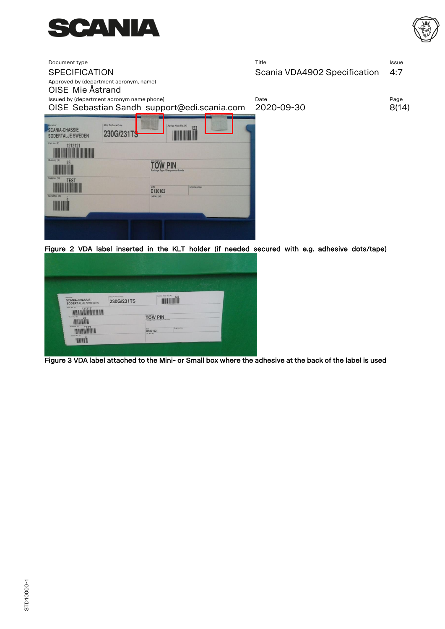



| Document type<br><b>SPECIFICATION</b><br>Approved by (department acronym, name)<br>OISE Mie Ästrand                                                               |                                                                                                                             | Title<br>Scania VDA4902 Specification | Issue<br>4:7 |
|-------------------------------------------------------------------------------------------------------------------------------------------------------------------|-----------------------------------------------------------------------------------------------------------------------------|---------------------------------------|--------------|
| Issued by (department acronym name phone)                                                                                                                         |                                                                                                                             | Date                                  | Page         |
| OISE Sebastian Sandh support@edi.scania.com                                                                                                                       |                                                                                                                             | 2020-09-30                            | 8(14)        |
| <b>Ship To/Dock/Gate</b><br><b>SCANIA-CHASSIE</b><br>230G/231TS<br>SODERTALJE SWEDEN<br>Part No. (P)<br>1212121<br>Quantity (Q)<br>Supplier (V)<br>Serial No. (S) | Advice Note No. (N)<br>123<br><b>PIN</b><br>Package Type / Dangerous Goods<br>Date<br>Engineering<br>D130102<br>Lot No. (H) |                                       |              |
|                                                                                                                                                                   |                                                                                                                             |                                       |              |

Figure 2 VDA label inserted in the KLT holder (if needed secured with e.g. adhesive dots/tape)

|                                                       | 大小小区                            |                                       |
|-------------------------------------------------------|---------------------------------|---------------------------------------|
| <b>Bucatra</b><br>SCANIA-CHASSIE<br>SODERTALJE SWEDEN | Ship To/Dock/Gane<br>230G/231TS | Adverse Note No. (N)<br>123           |
| Fort No. 171<br>$-121212$                             |                                 |                                       |
| Guerrity (G)<br>25                                    |                                 | TOW PIN                               |
| Supplier (V)<br><b>TEST</b>                           |                                 | Engineering<br><b>Cale</b><br>D130102 |

Figure 3 VDA label attached to the Mini- or Small box where the adhesive at the back of the label is used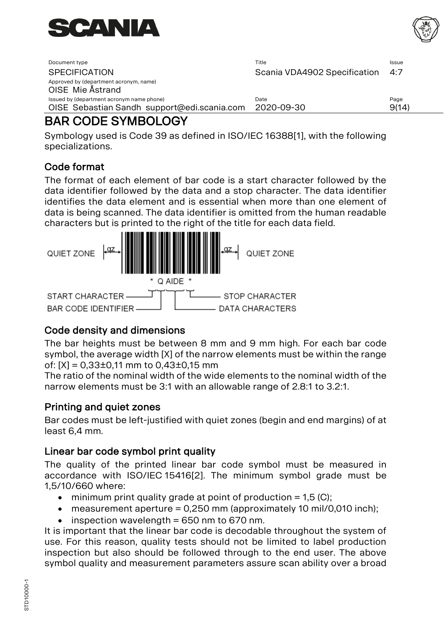



| Document type                                              | Title                        | Issue |
|------------------------------------------------------------|------------------------------|-------|
| <b>SPECIFICATION</b>                                       | Scania VDA4902 Specification | 4:7   |
| Approved by (department acronym, name)<br>OISE Mie Ästrand |                              |       |
| Issued by (department acronym name phone)                  | Date                         | Page  |
| OISE Sebastian Sandh support@edi.scania.com                | 2020-09-30                   | 9(14) |

# <span id="page-8-0"></span>BAR CODE SYMBOLOGY

Symbology used is Code 39 as defined in ISO/IEC 16388[1], with the following specializations.

## <span id="page-8-1"></span>Code format

The format of each element of bar code is a start character followed by the data identifier followed by the data and a stop character. The data identifier identifies the data element and is essential when more than one element of data is being scanned. The data identifier is omitted from the human readable characters but is printed to the right of the title for each data field.



## <span id="page-8-2"></span>Code density and dimensions

The bar heights must be between 8 mm and 9 mm high. For each bar code symbol, the average width [X] of the narrow elements must be within the range of:  $[X] = 0.33 \pm 0.11$  mm to  $0.43 \pm 0.15$  mm

The ratio of the nominal width of the wide elements to the nominal width of the narrow elements must be 3:1 with an allowable range of 2.8:1 to 3.2:1.

## <span id="page-8-3"></span>Printing and quiet zones

Bar codes must be left-justified with quiet zones (begin and end margins) of at least 6,4 mm.

## <span id="page-8-4"></span>Linear bar code symbol print quality

The quality of the printed linear bar code symbol must be measured in accordance with ISO/IEC 15416[2]. The minimum symbol grade must be 1,5/10/660 where:

- minimum print quality grade at point of production  $= 1.5$  (C);
- measurement aperture  $= 0.250$  mm (approximately 10 mil/0,010 inch);
- $\bullet$  inspection wavelength = 650 nm to 670 nm.

It is important that the linear bar code is decodable throughout the system of use. For this reason, quality tests should not be limited to label production inspection but also should be followed through to the end user. The above symbol quality and measurement parameters assure scan ability over a broad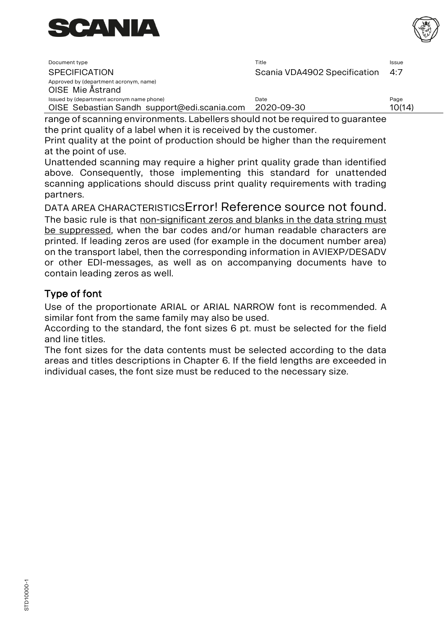

| Document type                                                                            | Title                        | Issue          |
|------------------------------------------------------------------------------------------|------------------------------|----------------|
| <b>SPECIFICATION</b>                                                                     | Scania VDA4902 Specification | 4:7            |
| Approved by (department acronym, name)<br>OISE Mie Ästrand                               |                              |                |
| Issued by (department acronym name phone)<br>OISE Sebastian Sandh support@edi.scania.com | Date<br>2020-09-30           | Page<br>10(14) |

range of scanning environments. Labellers should not be required to guarantee the print quality of a label when it is received by the customer.

Print quality at the point of production should be higher than the requirement at the point of use.

Unattended scanning may require a higher print quality grade than identified above. Consequently, those implementing this standard for unattended scanning applications should discuss print quality requirements with trading partners.

DATA AREA CHARACTERISTICSError! Reference source not found. The basic rule is that non-significant zeros and blanks in the data string must be suppressed, when the bar codes and/or human readable characters are printed. If leading zeros are used (for example in the document number area) on the transport label, then the corresponding information in AVIEXP/DESADV or other EDI-messages, as well as on accompanying documents have to contain leading zeros as well.

## <span id="page-9-0"></span>Type of font

Use of the proportionate ARIAL or ARIAL NARROW font is recommended. A similar font from the same family may also be used.

According to the standard, the font sizes 6 pt. must be selected for the field and line titles.

The font sizes for the data contents must be selected according to the data areas and titles descriptions in Chapter 6. If the field lengths are exceeded in individual cases, the font size must be reduced to the necessary size.

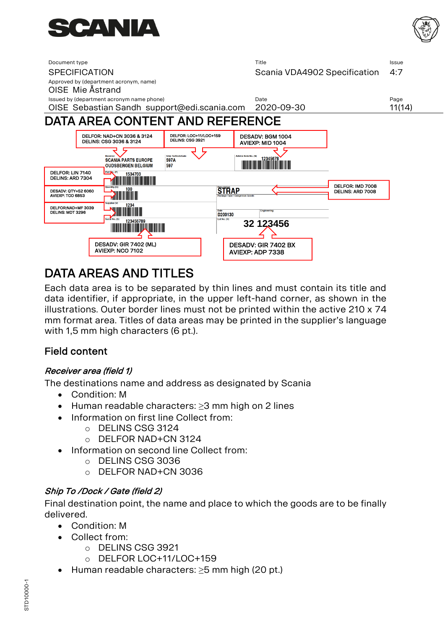



<span id="page-10-0"></span>

# <span id="page-10-1"></span>DATA AREAS AND TITLES

Each data area is to be separated by thin lines and must contain its title and data identifier, if appropriate, in the upper left-hand corner, as shown in the illustrations. Outer border lines must not be printed within the active 210 x 74 mm format area. Titles of data areas may be printed in the supplier's language with 1,5 mm high characters (6 pt.).

## <span id="page-10-2"></span>Field content

### <span id="page-10-3"></span>Receiver area (field 1)

The destinations name and address as designated by Scania

- Condition: M
- Human readable characters: ≥3 mm high on 2 lines
- Information on first line Collect from:
	- o DELINS CSG 3124
		- o DELFOR NAD+CN 3124
- Information on second line Collect from:
	- o DELINS CSG 3036
	- o DELFOR NAD+CN 3036

### <span id="page-10-4"></span>Ship To /Dock / Gate (field 2)

Final destination point, the name and place to which the goods are to be finally delivered.

- Condition: M
- Collect from:
	- o DELINS CSG 3921
	- o DELFOR LOC+11/LOC+159
- Human readable characters: ≥5 mm high (20 pt.)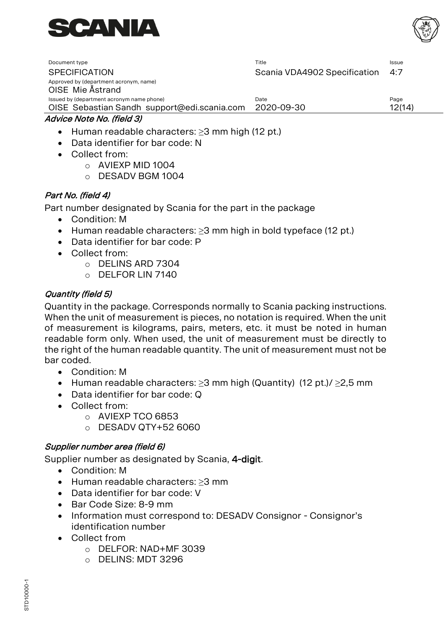



| Document type                                              | Title                        | <b>Issue</b> |
|------------------------------------------------------------|------------------------------|--------------|
| <b>SPECIFICATION</b>                                       | Scania VDA4902 Specification | 4:7          |
| Approved by (department acronym, name)<br>OISE Mie Ästrand |                              |              |
| Issued by (department acronym name phone)                  | Date                         | Page         |
| OISE Sebastian Sandh support@edi.scania.com                | 2020-09-30                   | 12(14)       |
| Advice Note No. (field 3)                                  |                              |              |

- <span id="page-11-0"></span>• Human readable characters: ≥3 mm high (12 pt.)
- Data identifier for bar code: N
- Collect from:
	- o AVIEXP MID 1004
	- o DESADV BGM 1004

#### <span id="page-11-1"></span>Part No. (field 4)

Part number designated by Scania for the part in the package

- Condition: M
- Human readable characters: ≥3 mm high in bold typeface (12 pt.)
- Data identifier for bar code: P
- Collect from:
	- o DELINS ARD 7304
	- $\circ$  DELEOR LIN 7140

#### <span id="page-11-2"></span>Quantity (field 5)

Quantity in the package. Corresponds normally to Scania packing instructions. When the unit of measurement is pieces, no notation is required. When the unit of measurement is kilograms, pairs, meters, etc. it must be noted in human readable form only. When used, the unit of measurement must be directly to the right of the human readable quantity. The unit of measurement must not be bar coded.

- Condition: M
- Human readable characters: ≥3 mm high (Quantity) (12 pt.)/ ≥2,5 mm
- Data identifier for bar code: Q
- Collect from:
	- o AVIEXP TCO 6853
	- o DESADV QTY+52 6060

#### <span id="page-11-3"></span>Supplier number area (field 6)

Supplier number as designated by Scania, 4-digit.

- Condition: M
- Human readable characters: ≥3 mm
- Data identifier for bar code: V
- Bar Code Size: 8-9 mm
- Information must correspond to: DESADV Consignor Consignor's identification number
- Collect from
	- o DELFOR: NAD+MF 3039
	- o DELINS: MDT 3296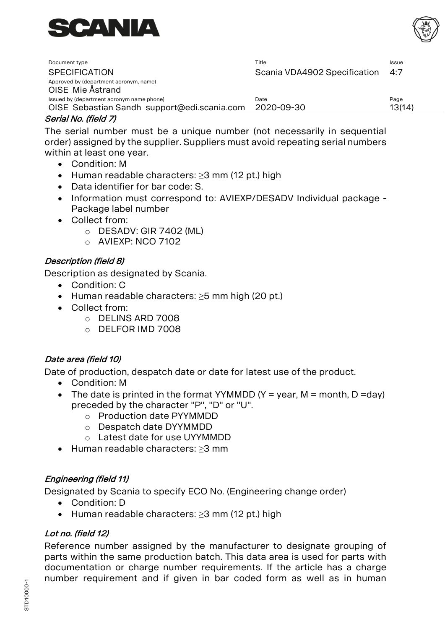

| Document type                                                                            | Title                        | Issue          |
|------------------------------------------------------------------------------------------|------------------------------|----------------|
| <b>SPECIFICATION</b>                                                                     | Scania VDA4902 Specification | 4:7            |
| Approved by (department acronym, name)<br>OISE Mie Ästrand                               |                              |                |
| Issued by (department acronym name phone)<br>OISE Sebastian Sandh support@edi.scania.com | Date<br>2020-09-30           | Page<br>13(14) |

#### <span id="page-12-0"></span>Serial No. (field 7)

The serial number must be a unique number (not necessarily in sequential order) assigned by the supplier. Suppliers must avoid repeating serial numbers within at least one year.

- Condition: M
- Human readable characters: ≥3 mm (12 pt.) high
- Data identifier for bar code: S.
- Information must correspond to: AVIEXP/DESADV Individual package Package label number
- Collect from:
	- o DESADV: GIR 7402 (ML)
	- o AVIEXP: NCO 7102

#### <span id="page-12-1"></span>Description (field 8)

Description as designated by Scania.

- Condition: C
- Human readable characters: ≥5 mm high (20 pt.)
- Collect from:
	- o DELINS ARD 7008
	- o DELFOR IMD 7008

#### <span id="page-12-2"></span>Date area (field 10)

Date of production, despatch date or date for latest use of the product.

- Condition: M
- The date is printed in the format YYMMDD (Y = year, M = month, D =day) preceded by the character "P", "D" or "U".
	- o Production date PYYMMDD
	- o Despatch date DYYMMDD
	- o Latest date for use UYYMMDD
- Human readable characters: ≥3 mm

### <span id="page-12-3"></span>Engineering (field 11)

Designated by Scania to specify ECO No. (Engineering change order)

- Condition: D
- Human readable characters: ≥3 mm (12 pt.) high

#### <span id="page-12-4"></span>Lot no. (field 12)

Reference number assigned by the manufacturer to designate grouping of parts within the same production batch. This data area is used for parts with documentation or charge number requirements. If the article has a charge number requirement and if given in bar coded form as well as in human